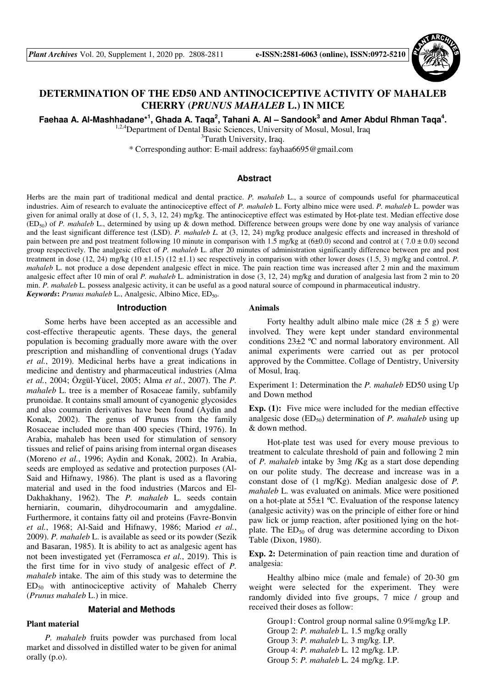

# **DETERMINATION OF THE ED50 AND ANTINOCICEPTIVE ACTIVITY OF MAHALEB CHERRY (***PRUNUS MAHALEB* **L.) IN MICE**

Faehaa A. Al-Mashhadane\*<sup>1</sup>, Ghada A. Taqa<sup>2</sup>, Tahani A. Al – Sandook<sup>3</sup> and Amer Abdul Rhman Taqa<sup>4</sup>.

<sup>1,2,4</sup>Department of Dental Basic Sciences, University of Mosul, Mosul, Iraq

<sup>3</sup>Turath University, Iraq.

\* Corresponding author: E-mail address: fayhaa6695@gmail.com

## **Abstract**

Herbs are the main part of traditional medical and dental practice. *P. mahaleb* L., a source of compounds useful for pharmaceutical industries. Aim of research to evaluate the antinociceptive effect of *P. mahaleb* L. Forty albino mice were used. *P. mahaleb* L. powder was given for animal orally at dose of (1, 5, 3, 12, 24) mg/kg. The antinociceptive effect was estimated by Hot-plate test. Median effective dose (ED50) of *P. mahaleb* L., determined by using up & down method. Difference between groups were done by one way analysis of variance and the least significant difference test (LSD). *P. mahaleb L.* at (3, 12, 24) mg/kg produce analgesic effects and increased in threshold of pain between pre and post treatment following 10 minute in comparison with 1.5 mg/kg at  $(6\pm0.0)$  second and control at (7.0  $\pm$  0.0) second group respectively. The analgesic effect of *P. mahaleb* L. after 20 minutes of administration significantly difference between pre and post treatment in dose (12, 24) mg/kg (10 ±1.15) (12 ±1.1) sec respectively in comparison with other lower doses (1.5, 3) mg/kg and control. *P. mahaleb* L. not produce a dose dependent analgesic effect in mice. The pain reaction time was increased after 2 min and the maximum analgesic effect after 10 min of oral *P. mahaleb* L. administration in dose (3, 12, 24) mg/kg and duration of analgesia last from 2 min to 20 min. *P. mahaleb* L. possess analgesic activity, it can be useful as a good natural source of compound in pharmaceutical industry. *Keywords*: *Prunus mahaleb* L., Analgesic, Albino Mice, ED<sub>50</sub>.

### **Introduction**

Some herbs have been accepted as an accessible and cost-effective therapeutic agents. These days, the general population is becoming gradually more aware with the over prescription and mishandling of conventional drugs (Yadav *et al.*, 2019). Medicinal herbs have a great indications in medicine and dentistry and pharmaceutical industries (Alma *et al.*, 2004; Özgül-Yücel, 2005; Alma *et al.*, 2007). The *P. mahaleb* L. tree is a member of Rosaceae family, subfamily prunoidae. It contains small amount of cyanogenic glycosides and also coumarin derivatives have been found (Aydin and Konak, 2002). The genus of Prunus from the family Rosaceae included more than 400 species (Third, 1976). In Arabia, mahaleb has been used for stimulation of sensory tissues and relief of pains arising from internal organ diseases (Moreno *et al.*, 1996; Aydin and Konak, 2002). In Arabia, seeds are employed as sedative and protection purposes (Al-Said and Hifnawy, 1986). The plant is used as a flavoring material and used in the food industries (Marcos and El-Dakhakhany, 1962). The *P. mahaleb* L. seeds contain herniarin, coumarin, dihydrocoumarin and amygdaline. Furthermore, it contains fatty oil and proteins (Favre-Bonvin *et al.*, 1968; Al-Said and Hifnawy, 1986; Mariod *et al.*, 2009). *P. mahaleb* L. is available as seed or its powder (Sezik and Basaran, 1985). It is ability to act as analgesic agent has not been investigated yet (Ferramosca *et al.*, 2019). This is the first time for in vivo study of analgesic effect of *P. mahaleb* intake. The aim of this study was to determine the  $ED_{50}$  with antinociceptive activity of Mahaleb Cherry (*Prunus mahaleb* L.) in mice.

# **Material and Methods**

# **Plant material**

*P. mahaleb* fruits powder was purchased from local market and dissolved in distilled water to be given for animal orally (p.o).

# **Animals**

Forty healthy adult albino male mice  $(28 \pm 5 \text{ g})$  were involved. They were kept under standard environmental conditions 23±2 ºC and normal laboratory environment. All animal experiments were carried out as per protocol approved by the Committee. Collage of Dentistry, University of Mosul, Iraq.

Experiment 1: Determination the *P. mahaleb* ED50 using Up and Down method

**Exp. (1):** Five mice were included for the median effective analgesic dose  $(ED_{50})$  determination of *P. mahaleb* using up & down method.

Hot-plate test was used for every mouse previous to treatment to calculate threshold of pain and following 2 min of *P. mahaleb* intake by 3mg /Kg as a start dose depending on our polite study. The decrease and increase was in a constant dose of (1 mg/Kg). Median analgesic dose of *P. mahaleb* L. was evaluated on animals. Mice were positioned on a hot-plate at  $55\pm1$  °C. Evaluation of the response latency (analgesic activity) was on the principle of either fore or hind paw lick or jump reaction, after positioned lying on the hotplate. The  $ED_{50}$  of drug was determine according to Dixon Table (Dixon, 1980).

**Exp. 2:** Determination of pain reaction time and duration of analgesia:

Healthy albino mice (male and female) of 20-30 gm weight were selected for the experiment. They were randomly divided into five groups, 7 mice / group and received their doses as follow:

Group1: Control group normal saline 0.9%mg/kg I.P. Group 2: *P. mahaleb* L. 1.5 mg/kg orally Group 3: *P. mahaleb* L. 3 mg/kg. I.P. Group 4: *P. mahaleb* L. 12 mg/kg. I.P. Group 5: *P. mahaleb* L. 24 mg/kg. I.P.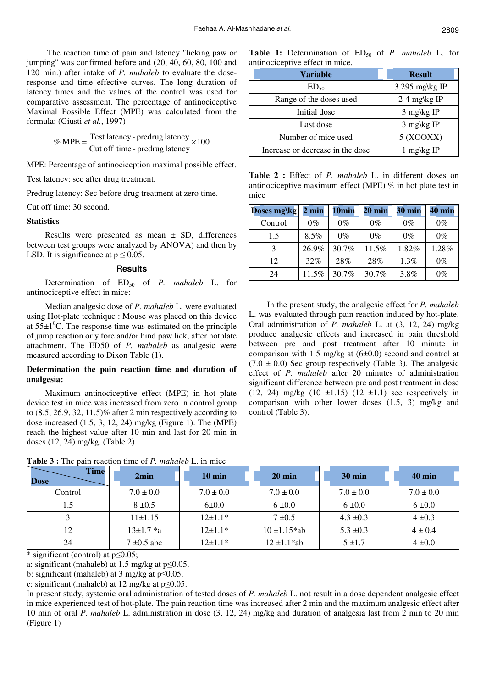The reaction time of pain and latency "licking paw or jumping" was confirmed before and (20, 40, 60, 80, 100 and 120 min.) after intake of *P. mahaleb* to evaluate the doseresponse and time effective curves. The long duration of latency times and the values of the control was used for comparative assessment. The percentage of antinociceptive Maximal Possible Effect (MPE) was calculated from the formula: (Giusti *et al.*, 1997)

$$
\% MPE = \frac{\text{Test latency - predrug latency}}{\text{Cut off time - predrug latency}} \times 100
$$

MPE: Percentage of antinociception maximal possible effect.

Test latency: sec after drug treatment.

Predrug latency: Sec before drug treatment at zero time.

Cut off time: 30 second.

# **Statistics**

Results were presented as mean  $\pm$  SD, differences between test groups were analyzed by ANOVA) and then by LSD. It is significance at  $p \le 0.05$ .

### **Results**

Determination of  $ED_{50}$  of *P. mahaleb* L. for antinociceptive effect in mice:

Median analgesic dose of *P. mahaleb* L. were evaluated using Hot-plate technique : Mouse was placed on this device at  $55\pm1$ <sup>o</sup>C. The response time was estimated on the principle of jump reaction or y fore and/or hind paw lick, after hotplate attachment. The ED50 of *P. mahaleb* as analgesic were measured according to Dixon Table (1).

# **Determination the pain reaction time and duration of analgesia:**

Maximum antinociceptive effect (MPE) in hot plate device test in mice was increased from zero in control group to (8.5, 26.9, 32, 11.5)% after 2 min respectively according to dose increased (1.5, 3, 12, 24) mg/kg (Figure 1). The (MPE) reach the highest value after 10 min and last for 20 min in doses (12, 24) mg/kg. (Table 2)

**Table 1:** Determination of ED<sub>50</sub> of *P. mahaleb* L. for antinociceptive effect in mice.

| <b>Variable</b>                  | <b>Result</b>     |
|----------------------------------|-------------------|
| $ED_{50}$                        | 3.295 mg $\kg$ IP |
| Range of the doses used          | 2-4 mg\kg IP      |
| Initial dose                     | $3$ mg\kg IP      |
| Last dose                        | $3$ mg\kg IP      |
| Number of mice used              | 5 (XOOXX)         |
| Increase or decrease in the dose | 1 mg\kg IP        |

**Table 2 :** Effect of *P. mahaleb* L. in different doses on antinociceptive maximum effect (MPE) % in hot plate test in mice

| Doses mg\kg | 2 min | 10min | $20 \text{ min}$ | <b>30 min</b> | <b>40 min</b> |
|-------------|-------|-------|------------------|---------------|---------------|
| Control     | $0\%$ | $0\%$ | $0\%$            | $0\%$         | $0\%$         |
| 1.5         | 8.5%  | $0\%$ | $0\%$            | $0\%$         | $0\%$         |
| 3           | 26.9% | 30.7% | 11.5%            | 1.82%         | 1.28%         |
| 12          | 32%   | 28%   | 28%              | 1.3%          | $0\%$         |
| 24          | 11.5% | 30.7% | 30.7%            | 3.8%          | $0\%$         |

In the present study, the analgesic effect for *P. mahaleb* L. was evaluated through pain reaction induced by hot-plate. Oral administration of *P. mahaleb* L. at (3, 12, 24) mg/kg produce analgesic effects and increased in pain threshold between pre and post treatment after 10 minute in comparison with 1.5 mg/kg at  $(6\pm0.0)$  second and control at  $(7.0 \pm 0.0)$  Sec group respectively (Table 3). The analgesic effect of *P. mahaleb* after 20 minutes of administration significant difference between pre and post treatment in dose (12, 24) mg/kg  $(10 \pm 1.15)$   $(12 \pm 1.1)$  sec respectively in comparison with other lower doses (1.5, 3) mg/kg and control (Table 3).

| <b>Time</b><br>Dose | 2min            | $10 \text{ min}$ | $20 \text{ min}$  | 30 min        | $40 \text{ min}$ |
|---------------------|-----------------|------------------|-------------------|---------------|------------------|
| Control             | $7.0 \pm 0.0$   | $7.0 \pm 0.0$    | $7.0 \pm 0.0$     | $7.0 \pm 0.0$ | $7.0 \pm 0.0$    |
| 1.5                 | $8 \pm 0.5$     | $6 \pm 0.0$      | $6 \pm 0.0$       | $6 \pm 0.0$   | $6 \pm 0.0$      |
|                     | $11 \pm 1.15$   | $12 \pm 1.1*$    | $7 \pm 0.5$       | $4.3 \pm 0.3$ | $4 \pm 0.3$      |
| 12                  | $13\pm1.7*$ a   | $12 \pm 1.1*$    | $10 \pm 1.15$ *ab | $5.3 \pm 0.3$ | $4 \pm 0.4$      |
| 24                  | $7 \pm 0.5$ abc | $12 \pm 1.1*$    | $12 \pm 1.1$ *ab  | $5 + 1.7$     | $4 \pm 0.0$      |

**Table 3 :** The pain reaction time of *P. mahaleb* L. in mice

\* significant (control) at p≤0.05;

a: significant (mahaleb) at 1.5 mg/kg at  $p \le 0.05$ .

b: significant (mahaleb) at 3 mg/kg at  $p \le 0.05$ .

c: significant (mahaleb) at 12 mg/kg at p≤0.05.

In present study, systemic oral administration of tested doses of *P. mahaleb* L. not result in a dose dependent analgesic effect in mice experienced test of hot-plate. The pain reaction time was increased after 2 min and the maximum analgesic effect after 10 min of oral *P. mahaleb* L. administration in dose (3, 12, 24) mg/kg and duration of analgesia last from 2 min to 20 min (Figure 1)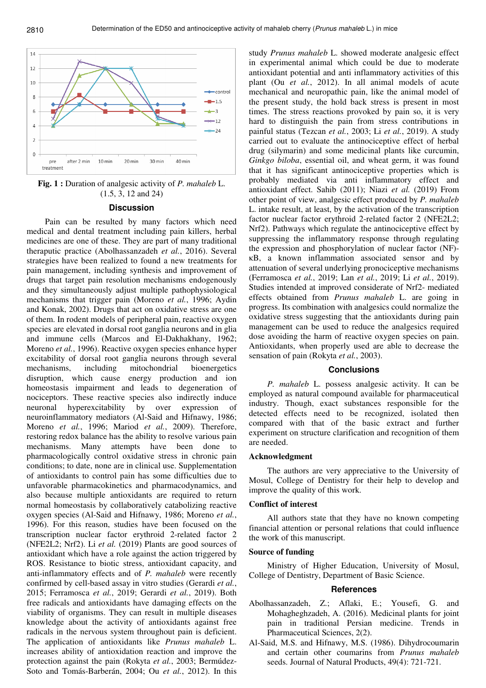

**Fig. 1 :** Duration of analgesic activity of *P. mahaleb* L. (1.5, 3, 12 and 24)

#### **Discussion**

Pain can be resulted by many factors which need medical and dental treatment including pain killers, herbal medicines are one of these. They are part of many traditional theraputic practice (Abolhassanzadeh *et al.*, 2016). Several strategies have been realized to found a new treatments for pain management, including synthesis and improvement of drugs that target pain resolution mechanisms endogenously and they simultaneously adjust multiple pathophysiological mechanisms that trigger pain (Moreno *et al.*, 1996; Aydin and Konak, 2002). Drugs that act on oxidative stress are one of them. In rodent models of peripheral pain, reactive oxygen species are elevated in dorsal root ganglia neurons and in glia and immune cells (Marcos and El-Dakhakhany, 1962; Moreno *et al.*, 1996). Reactive oxygen species enhance hyper excitability of dorsal root ganglia neurons through several mechanisms, including mitochondrial bioenergetics disruption, which cause energy production and ion homeostasis impairment and leads to degeneration of nociceptors. These reactive species also indirectly induce neuronal hyperexcitability by over expression of neuroinflammatory mediators (Al-Said and Hifnawy, 1986; Moreno *et al.*, 1996; Mariod *et al.*, 2009). Therefore, restoring redox balance has the ability to resolve various pain mechanisms. Many attempts have been done to pharmacologically control oxidative stress in chronic pain conditions; to date, none are in clinical use. Supplementation of antioxidants to control pain has some difficulties due to unfavorable pharmacokinetics and pharmacodynamics, and also because multiple antioxidants are required to return normal homeostasis by collaboratively catabolizing reactive oxygen species (Al-Said and Hifnawy, 1986; Moreno *et al.*, 1996). For this reason, studies have been focused on the transcription nuclear factor erythroid 2-related factor 2 (NFE2L2; Nrf2). Li *et al.* (2019) Plants are good sources of antioxidant which have a role against the action triggered by ROS. Resistance to biotic stress, antioxidant capacity, and anti-inflammatory effects and of *P. mahaleb* were recently confirmed by cell-based assay in vitro studies (Gerardi *et al.*, 2015; Ferramosca *et al.*, 2019; Gerardi *et al.*, 2019). Both free radicals and antioxidants have damaging effects on the viability of organisms. They can result in multiple diseases knowledge about the activity of antioxidants against free radicals in the nervous system throughout pain is deficient. The application of antioxidants like *Prunus mahaleb* L. increases ability of antioxidation reaction and improve the protection against the pain (Rokyta *et al.*, 2003; Bermúdez-Soto and Tomás-Barberán, 2004; Ou *et al.*, 2012). In this

study *Prunus mahaleb* L. showed moderate analgesic effect in experimental animal which could be due to moderate antioxidant potential and anti inflammatory activities of this plant (Ou *et al.*, 2012). In all animal models of acute mechanical and neuropathic pain, like the animal model of the present study, the hold back stress is present in most times. The stress reactions provoked by pain so, it is very hard to distinguish the pain from stress contributions in painful status (Tezcan *et al.*, 2003; Li *et al.*, 2019). A study carried out to evaluate the antinociceptive effect of herbal drug (silymarin) and some medicinal plants like curcumin, *Ginkgo biloba*, essential oil, and wheat germ, it was found that it has significant antinociceptive properties which is probably mediated via anti inflammatory effect and antioxidant effect. Sahib (2011); Niazi *et al.* (2019) From other point of view, analgesic effect produced by *P. mahaleb* L. intake result, at least, by the activation of the transcription factor nuclear factor erythroid 2-related factor 2 (NFE2L2; Nrf2). Pathways which regulate the antinociceptive effect by suppressing the inflammatory response through regulating the expression and phosphorylation of nuclear factor (NF) κB, a known inflammation associated sensor and by attenuation of several underlying pronociceptive mechanisms (Ferramosca *et al.*, 2019; Lan *et al.*, 2019; Li *et al.*, 2019). Studies intended at improved considerate of Nrf2- mediated effects obtained from *Prunus mahaleb* L. are going in progress. Its combination with analgesics could normalize the oxidative stress suggesting that the antioxidants during pain management can be used to reduce the analgesics required dose avoiding the harm of reactive oxygen species on pain. Antioxidants, when properly used are able to decrease the sensation of pain (Rokyta *et al.*, 2003).

### **Conclusions**

*P. mahaleb* L. possess analgesic activity. It can be employed as natural compound available for pharmaceutical industry. Though, exact substances responsible for the detected effects need to be recognized, isolated then compared with that of the basic extract and further experiment on structure clarification and recognition of them are needed.

### **Acknowledgment**

The authors are very appreciative to the University of Mosul, College of Dentistry for their help to develop and improve the quality of this work.

### **Conflict of interest**

All authors state that they have no known competing financial attention or personal relations that could influence the work of this manuscript.

### **Source of funding**

Ministry of Higher Education, University of Mosul, College of Dentistry, Department of Basic Science.

### **References**

- Abolhassanzadeh, Z.; Aflaki, E.; Yousefi, G. and Mohagheghzadeh, A. (2016). Medicinal plants for joint pain in traditional Persian medicine. Trends in Pharmaceutical Sciences, 2(2).
- Al-Said, M.S. and Hifnawy, M.S. (1986). Dihydrocoumarin and certain other coumarins from *Prunus mahaleb* seeds. Journal of Natural Products, 49(4): 721-721.